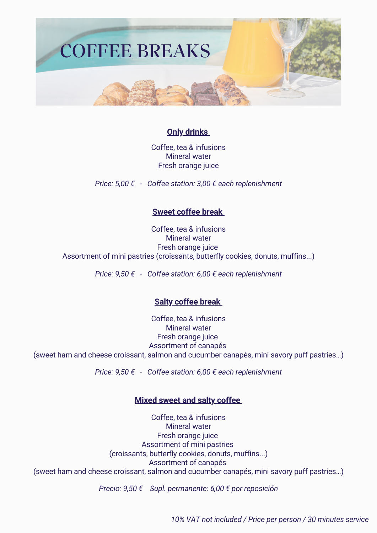

# **Only drinks**

Coffee, tea & infusions Mineral water Fresh orange juice

*Price: 5,00 € - Coffee station: 3,00 € each replenishment*

## **Sweet coffee break**

Coffee, tea & infusions Mineral water Fresh orange juice Assortment of mini pastries (croissants, butterfly cookies, donuts, muffins...)

*Price: 9,50 € - Coffee station: 6,00 € each replenishment*

# **Salty coffee break**

Coffee, tea & infusions Mineral water Fresh orange juice Assortment of canapés (sweet ham and cheese croissant, salmon and cucumber canapés, mini savory puff pastries…)

*Price: 9,50 € - Coffee station: 6,00 € each replenishment*

## **Mixed sweet and salty coffee**

Coffee, tea & infusions Mineral water Fresh orange juice Assortment of mini pastries (croissants, butterfly cookies, donuts, muffins...) Assortment of canapés (sweet ham and cheese croissant, salmon and cucumber canapés, mini savory puff pastries…)

*Precio: 9,50 € Supl. permanente: 6,00 € por reposición*

*10% VAT not included / Price per person / 30 minutes service*